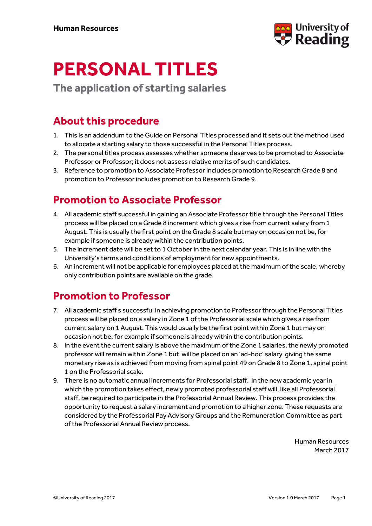

# **PERSONAL TITLES**

**The application of starting salaries** 

### **About this procedure**

- 1. This is an addendum to the Guide on Personal Titles processed and it sets out the method used to allocate a starting salary to those successful in the Personal Titles process.
- 2. The personal titles process assesses whether someone deserves to be promoted to Associate Professor or Professor; it does not assess relative merits of such candidates.
- 3. Reference to promotion to Associate Professor includes promotion to Research Grade 8 and promotion to Professor includes promotion to Research Grade 9.

### **Promotion to Associate Professor**

- 4. All academic staff successful in gaining an Associate Professor title through the Personal Titles process will be placed on a Grade 8 increment which gives a rise from current salary from 1 August. This is usually the first point on the Grade 8 scale but may on occasion not be, for example if someone is already within the contribution points.
- 5. The increment date will be set to 1 October in the next calendar year. This is in line with the University's terms and conditions of employment for new appointments.
- 6. An increment will not be applicable for employees placed at the maximum of the scale, whereby only contribution points are available on the grade.

## **Promotion to Professor**

- 7. All academic staff s successful in achieving promotion to Professor through the Personal Titles process will be placed on a salary in Zone 1 of the Professorial scale which gives a rise from current salary on 1 August. This would usually be the first point within Zone 1 but may on occasion not be, for example if someone is already within the contribution points.
- 8. In the event the current salary is above the maximum of the Zone 1 salaries, the newly promoted professor will remain within Zone 1 but will be placed on an 'ad-hoc' salary giving the same monetary rise as is achieved from moving from spinal point 49 on Grade 8 to Zone 1, spinal point 1 on the Professorial scale.
- 9. There is no automatic annual increments for Professorial staff. In the new academic year in which the promotion takes effect, newly promoted professorial staff will, like all Professorial staff, be required to participate in the Professorial Annual Review. This process provides the opportunity to request a salary increment and promotion to a higher zone. These requests are considered by the Professorial Pay Advisory Groups and the Remuneration Committee as part of the Professorial Annual Review process.

Human Resources March 2017